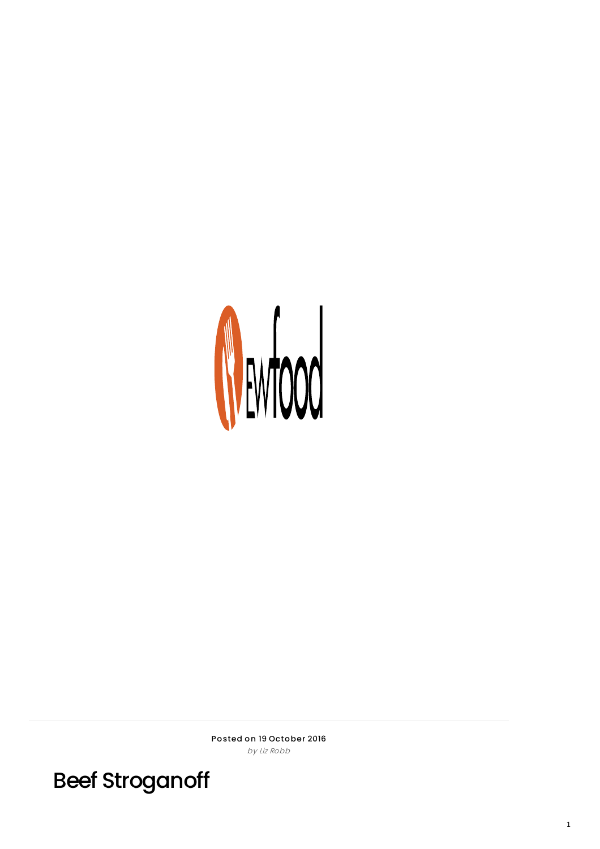

Posted on 19 October 2016 by Liz Robb

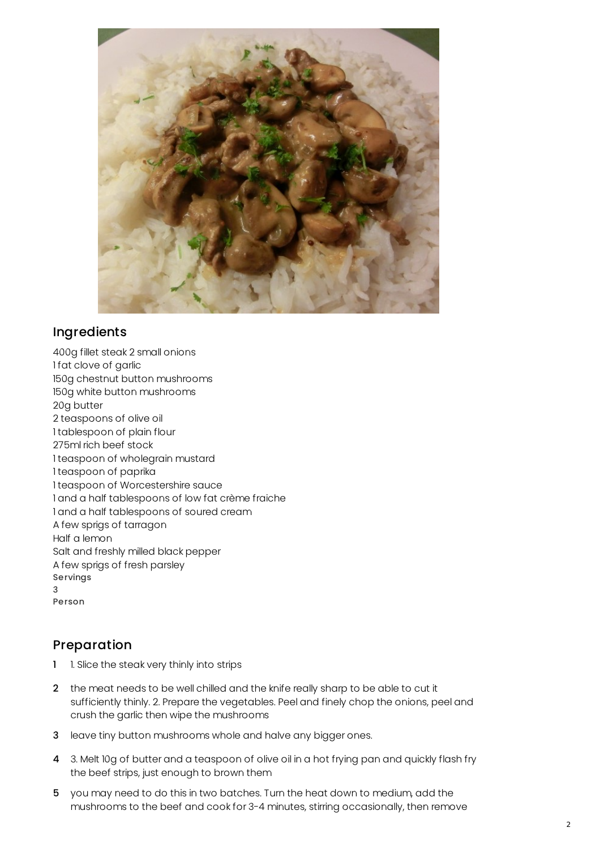

## Ingredients

400g fillet steak 2 small onions 1 fat clove of garlic 150g chestnut button mushrooms 150g white button mushrooms 20g butter 2 teaspoons of olive oil 1 tablespoon of plain flour 275ml rich beef stock 1 teaspoon of wholegrain mustard 1 teaspoon of paprika 1 teaspoon of Worcestershire sauce 1 and a half tablespoons of low fat crème fraiche 1 and a half tablespoons of soured cream A few sprigs of tarragon Half a lemon Salt and freshly milled black pepper A few sprigs of fresh parsley Servings 3 Person

## Preparation

- 1 1. Slice the steak very thinly into strips
- 2 the meat needs to be well chilled and the knife really sharp to be able to cut it sufficiently thinly. 2. Prepare the vegetables. Peel and finely chop the onions, peel and crush the garlic then wipe the mushrooms
- 3 leave tiny button mushrooms whole and halve any bigger ones.
- 4 3. Melt 10g of butter and a teaspoon of olive oil in a hot frying pan and quickly flash fry the beef strips, just enough to brown them
- 5 you may need to do this in two batches. Turn the heat down to medium, add the mushrooms to the beef and cook for 3-4 minutes, stirring occasionally, then remove